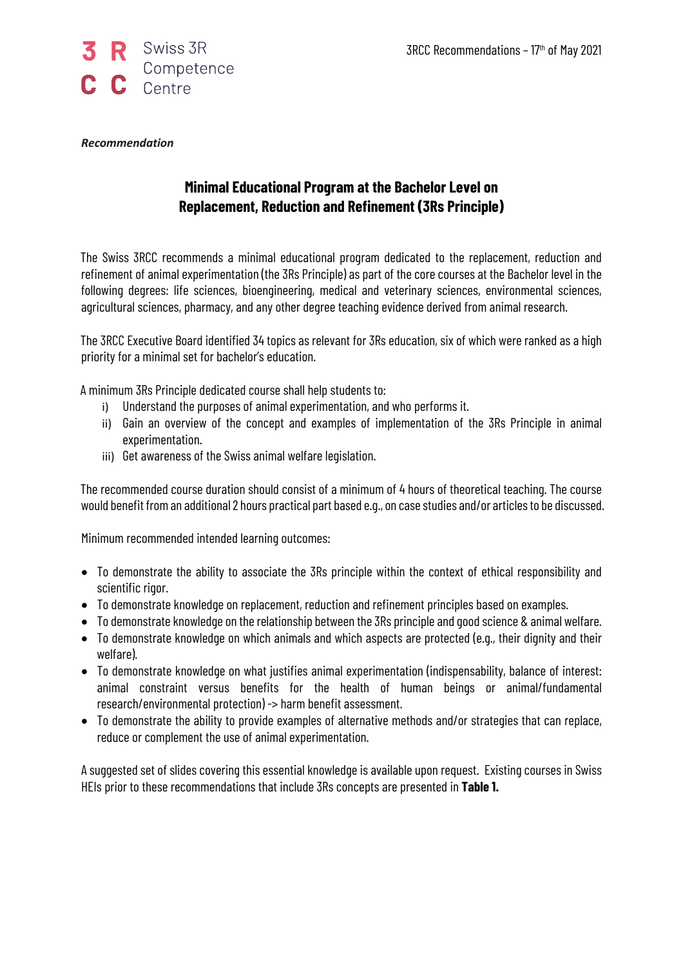

## *Recommendation*

## **Minimal Educational Program at the Bachelor Level on Replacement, Reduction and Refinement (3Rs Principle)**

The Swiss 3RCC recommends a minimal educational program dedicated to the replacement, reduction and refinement of animal experimentation (the 3Rs Principle) as part of the core courses at the Bachelor level in the following degrees: life sciences, bioengineering, medical and veterinary sciences, environmental sciences, agricultural sciences, pharmacy, and any other degree teaching evidence derived from animal research.

The 3RCC Executive Board identified 34 topics as relevant for 3Rs education, six of which were ranked as a high priority for a minimal set for bachelor's education.

A minimum 3Rs Principle dedicated course shall help students to:

- i) Understand the purposes of animal experimentation, and who performs it.
- ii) Gain an overview of the concept and examples of implementation of the 3Rs Principle in animal experimentation.
- iii) Get awareness of the Swiss animal welfare legislation.

The recommended course duration should consist of a minimum of 4 hours of theoretical teaching. The course would benefit froman additional 2 hours practical part based e.g., on case studies and/or articles to be discussed.

Minimum recommended intended learning outcomes:

- To demonstrate the ability to associate the 3Rs principle within the context of ethical responsibility and scientific rigor.
- To demonstrate knowledge on replacement, reduction and refinement principles based on examples.
- To demonstrate knowledge on the relationship between the 3Rs principle and good science & animal welfare.
- To demonstrate knowledge on which animals and which aspects are protected (e.g., their dignity and their welfare).
- To demonstrate knowledge on what justifies animal experimentation (indispensability, balance of interest: animal constraint versus benefits for the health of human beings or animal/fundamental research/environmental protection) -> harm benefit assessment.
- To demonstrate the ability to provide examples of alternative methods and/or strategies that can replace, reduce or complement the use of animal experimentation.

A suggested set of slides covering this essential knowledge is available upon request. Existing courses in Swiss HEIs prior to these recommendations that include 3Rs concepts are presented in **Table 1.**